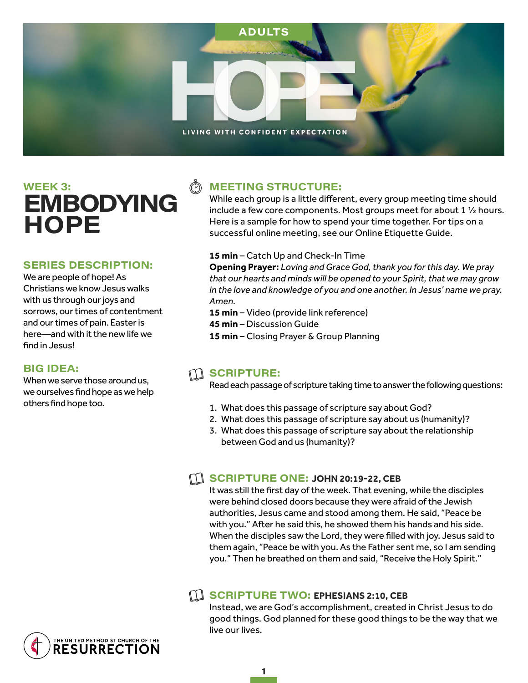

# $WEEK$  3: EMBODYING **HOPE**

#### **SERIES DESCRIPTION:**

We are people of hope! As Christians we know Jesus walks with us through our joys and sorrows, our times of contentment and our times of pain. Easter is here—and with it the new life we find in Jesus!

#### **BIG IDEA:**

When we serve those around us. we ourselves find hope as we help others find hope too.

# $\tilde{\mathbb{C}}$

## **MEETING STRUCTURE:**

While each group is a little different, every group meeting time should include a few core components. Most groups meet for about 1 ½ hours. Here is a sample for how to spend your time together. For tips on a successful online meeting, see our Online Etiquette Guide.

#### **15 min** – Catch Up and Check-In Time

**Opening Prayer:** *Loving and Grace God, thank you for this day. We pray that our hearts and minds will be opened to your Spirit, that we may grow in the love and knowledge of you and one another. In Jesus' name we pray. Amen.* 

- **15 min** Video (provide link reference)
- **45 min**  Discussion Guide
- **15 min**  Closing Prayer & Group Planning

### $m$  scripture:

Read each passage of scripture taking time to answer the following questions:

- 1. What does this passage of scripture say about God?
- 2. What does this passage of scripture say about us (humanity)?
- 3. What does this passage of scripture say about the relationship between God and us (humanity)?

#### **SCRIPTURE ONE: JOHN 20:19-22, CEB**

It was still the first day of the week. That evening, while the disciples were behind closed doors because they were afraid of the Jewish authorities, Jesus came and stood among them. He said, "Peace be with you." After he said this, he showed them his hands and his side. When the disciples saw the Lord, they were filled with joy. Jesus said to them again, "Peace be with you. As the Father sent me, so I am sending you." Then he breathed on them and said, "Receive the Holy Spirit."

#### **EXAMPLE TWO: EPHESIANS 2:10, CEB**

Instead, we are God's accomplishment, created in Christ Jesus to do good things. God planned for these good things to be the way that we live our lives.